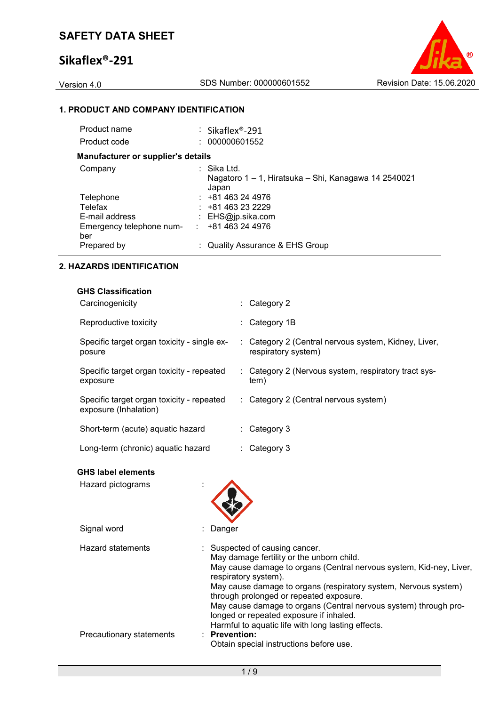

#### **1. PRODUCT AND COMPANY IDENTIFICATION**

| Product name                              | : Sikaflex®-291                                                              |
|-------------------------------------------|------------------------------------------------------------------------------|
| Product code                              | : 000000601552                                                               |
| <b>Manufacturer or supplier's details</b> |                                                                              |
| Company                                   | : Sika Ltd.<br>Nagatoro 1 – 1, Hiratsuka – Shi, Kanagawa 14 2540021<br>Japan |
| Telephone                                 | $: +81463244976$                                                             |
| Telefax                                   | $: +81463232229$                                                             |
| E-mail address                            | : $EHS@ip.sika.com$                                                          |
| Emergency telephone num-<br>ber           | +81 463 24 4976<br>÷.                                                        |
| Prepared by                               | : Quality Assurance & EHS Group                                              |

#### **2. HAZARDS IDENTIFICATION**

| <b>GHS Classification</b>                                          |                                                                             |
|--------------------------------------------------------------------|-----------------------------------------------------------------------------|
| Carcinogenicity                                                    | $\therefore$ Category 2                                                     |
| Reproductive toxicity                                              | $\therefore$ Category 1B                                                    |
| Specific target organ toxicity - single ex-<br>posure              | : Category 2 (Central nervous system, Kidney, Liver,<br>respiratory system) |
| Specific target organ toxicity - repeated<br>exposure              | : Category 2 (Nervous system, respiratory tract sys-<br>tem)                |
| Specific target organ toxicity - repeated<br>exposure (Inhalation) | : Category 2 (Central nervous system)                                       |
| Short-term (acute) aquatic hazard                                  | $\therefore$ Category 3                                                     |
| Long-term (chronic) aquatic hazard                                 | $\therefore$ Category 3                                                     |

#### **GHS label elements**

| Hazard pictograms        |                                                                                                                                                                                                                                                                                                                                                                                                                                                               |
|--------------------------|---------------------------------------------------------------------------------------------------------------------------------------------------------------------------------------------------------------------------------------------------------------------------------------------------------------------------------------------------------------------------------------------------------------------------------------------------------------|
| Signal word              | Danger                                                                                                                                                                                                                                                                                                                                                                                                                                                        |
| <b>Hazard statements</b> | : Suspected of causing cancer.<br>May damage fertility or the unborn child.<br>May cause damage to organs (Central nervous system, Kid-ney, Liver,<br>respiratory system).<br>May cause damage to organs (respiratory system, Nervous system)<br>through prolonged or repeated exposure.<br>May cause damage to organs (Central nervous system) through pro-<br>longed or repeated exposure if inhaled.<br>Harmful to aquatic life with long lasting effects. |
| Precautionary statements | $:$ Prevention:<br>Obtain special instructions before use.                                                                                                                                                                                                                                                                                                                                                                                                    |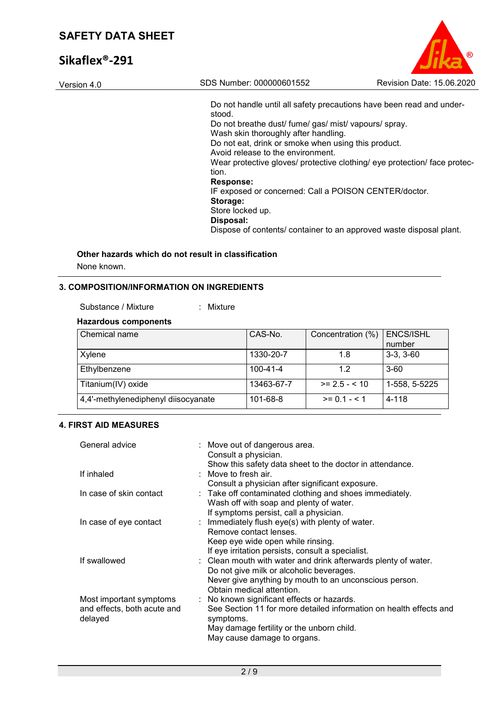| SAFEIT DATA SHEET |                                                                                             |                           |
|-------------------|---------------------------------------------------------------------------------------------|---------------------------|
| Sikaflex®-291     |                                                                                             |                           |
| Version 4.0       | SDS Number: 000000601552                                                                    | Revision Date: 15.06.2020 |
|                   | Do not handle until all safety precautions have been read and under-<br>stood.              |                           |
|                   | Do not breathe dust/ fume/ gas/ mist/ vapours/ spray.                                       |                           |
|                   | Wash skin thoroughly after handling.<br>Do not eat, drink or smoke when using this product. |                           |
|                   | Avoid release to the environment.                                                           |                           |

Wear protective gloves/ protective clothing/ eye protection/ face protection. **Response:**  IF exposed or concerned: Call a POISON CENTER/doctor. **Storage:**  Store locked up. **Disposal:**  Dispose of contents/ container to an approved waste disposal plant.

## **Other hazards which do not result in classification**

None known.

#### **3. COMPOSITION/INFORMATION ON INGREDIENTS**

: Mixture

#### **Hazardous components**

| Chemical name                       | CAS-No.        | Concentration (%) | <b>ENCS/ISHL</b> |
|-------------------------------------|----------------|-------------------|------------------|
|                                     |                |                   | number           |
| Xylene                              | 1330-20-7      | 1.8               | $3-3, 3-60$      |
| Ethylbenzene                        | $100 - 41 - 4$ | 1.2               | $3-60$           |
| Titanium(IV) oxide                  | 13463-67-7     | $>= 2.5 - 10$     | 1-558, 5-5225    |
| 4,4'-methylenediphenyl diisocyanate | 101-68-8       | $>= 0.1 - 5.1$    | 4-118            |

#### **4. FIRST AID MEASURES**

| General advice                         | : Move out of dangerous area.<br>Consult a physician.                           |
|----------------------------------------|---------------------------------------------------------------------------------|
|                                        | Show this safety data sheet to the doctor in attendance.                        |
| If inhaled                             | $\therefore$ Move to fresh air.                                                 |
|                                        | Consult a physician after significant exposure.                                 |
| In case of skin contact                | : Take off contaminated clothing and shoes immediately.                         |
|                                        | Wash off with soap and plenty of water.                                         |
|                                        | If symptoms persist, call a physician.                                          |
| In case of eye contact                 | : Immediately flush eye(s) with plenty of water.                                |
|                                        | Remove contact lenses.                                                          |
|                                        | Keep eye wide open while rinsing.                                               |
|                                        | If eye irritation persists, consult a specialist.                               |
| If swallowed                           | : Clean mouth with water and drink afterwards plenty of water.                  |
|                                        | Do not give milk or alcoholic beverages.                                        |
|                                        | Never give anything by mouth to an unconscious person.                          |
|                                        | Obtain medical attention.                                                       |
| Most important symptoms                | : No known significant effects or hazards.                                      |
| and effects, both acute and<br>delayed | See Section 11 for more detailed information on health effects and<br>symptoms. |
|                                        | May damage fertility or the unborn child.                                       |
|                                        | May cause damage to organs.                                                     |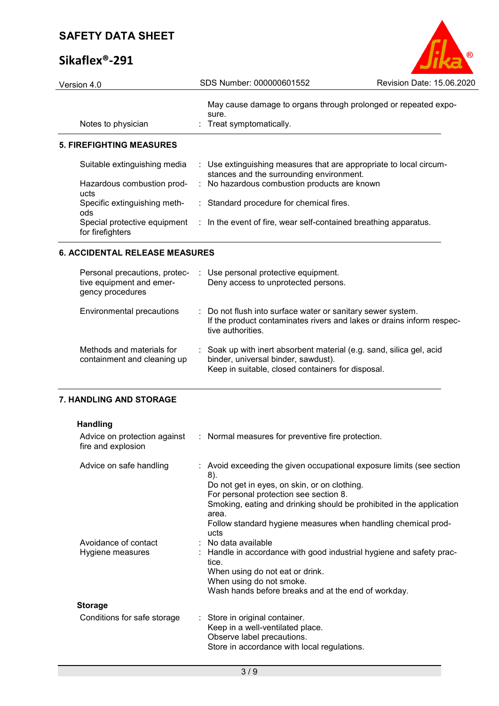# **Sikaflex®-291**

| Version 4.0                                      | SDS Number: 000000601552                                                                                       | Revision Date: 15.06.2020 |
|--------------------------------------------------|----------------------------------------------------------------------------------------------------------------|---------------------------|
| Notes to physician                               | May cause damage to organs through prolonged or repeated expo-<br>sure.<br>$\therefore$ Treat symptomatically. |                           |
| <b>5. FIREFIGHTING MEASURES</b>                  |                                                                                                                |                           |
| Suitable extinguishing media                     | : Use extinguishing measures that are appropriate to local circum-<br>stances and the surrounding environment. |                           |
| Hazardous combustion prod-<br>ucts               | : No hazardous combustion products are known                                                                   |                           |
| Specific extinguishing meth-<br>ods              | : Standard procedure for chemical fires.                                                                       |                           |
| Special protective equipment<br>for firefighters | : In the event of fire, wear self-contained breathing apparatus.                                               |                           |

 $\circ$ 

#### **6. ACCIDENTAL RELEASE MEASURES**

| Personal precautions, protec-<br>tive equipment and emer-<br>gency procedures | : Use personal protective equipment.<br>Deny access to unprotected persons.                                                                                      |
|-------------------------------------------------------------------------------|------------------------------------------------------------------------------------------------------------------------------------------------------------------|
| Environmental precautions                                                     | : Do not flush into surface water or sanitary sewer system.<br>If the product contaminates rivers and lakes or drains inform respec-<br>tive authorities.        |
| Methods and materials for<br>containment and cleaning up                      | : Soak up with inert absorbent material (e.g. sand, silica gel, acid<br>binder, universal binder, sawdust).<br>Keep in suitable, closed containers for disposal. |

### **7. HANDLING AND STORAGE**

| <b>Handling</b>                                    |                                                                                                                                                                                                                                                                                                                                  |
|----------------------------------------------------|----------------------------------------------------------------------------------------------------------------------------------------------------------------------------------------------------------------------------------------------------------------------------------------------------------------------------------|
| Advice on protection against<br>fire and explosion | : Normal measures for preventive fire protection.                                                                                                                                                                                                                                                                                |
| Advice on safe handling                            | : Avoid exceeding the given occupational exposure limits (see section<br>8).<br>Do not get in eyes, on skin, or on clothing.<br>For personal protection see section 8.<br>Smoking, eating and drinking should be prohibited in the application<br>area.<br>Follow standard hygiene measures when handling chemical prod-<br>ucts |
| Avoidance of contact<br>Hygiene measures           | : No data available<br>: Handle in accordance with good industrial hygiene and safety prac-<br>tice.<br>When using do not eat or drink.<br>When using do not smoke.<br>Wash hands before breaks and at the end of workday.                                                                                                       |
| <b>Storage</b>                                     |                                                                                                                                                                                                                                                                                                                                  |
| Conditions for safe storage                        | : Store in original container.<br>Keep in a well-ventilated place.<br>Observe label precautions.<br>Store in accordance with local regulations.                                                                                                                                                                                  |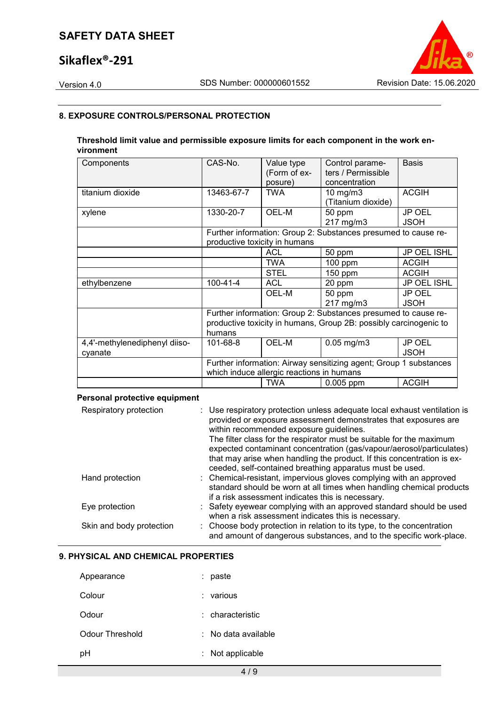## **Sikaflex®-291**

Version 4.0 SDS Number: 000000601552 Revision Date: 15.06.2020

#### **8. EXPOSURE CONTROLS/PERSONAL PROTECTION**

#### **Threshold limit value and permissible exposure limits for each component in the work environment**

| Components                    | CAS-No.        | Value type<br>(Form of ex-<br>posure)     | Control parame-<br>ters / Permissible<br>concentration            | <b>Basis</b>                 |
|-------------------------------|----------------|-------------------------------------------|-------------------------------------------------------------------|------------------------------|
| titanium dioxide              | 13463-67-7     | <b>TWA</b>                                | $10 \text{ mg/m}$<br>(Titanium dioxide)                           | <b>ACGIH</b>                 |
| xylene                        | 1330-20-7      | OEL-M                                     | 50 ppm<br>217 mg/m3                                               | JP OEL<br><b>JSOH</b>        |
|                               |                | productive toxicity in humans             | Further information: Group 2: Substances presumed to cause re-    |                              |
|                               |                | <b>ACL</b>                                | 50 ppm                                                            | JP OEL ISHL                  |
|                               |                | <b>TWA</b>                                | $100$ ppm                                                         | <b>ACGIH</b>                 |
|                               |                | STEL                                      | $150$ ppm                                                         | <b>ACGIH</b>                 |
| ethylbenzene                  | $100 - 41 - 4$ | <b>ACL</b>                                | 20 ppm                                                            | JP OEL ISHL                  |
|                               |                | OEL-M                                     | 50 ppm<br>217 mg/m3                                               | <b>JP OEL</b><br><b>JSOH</b> |
|                               |                |                                           | Further information: Group 2: Substances presumed to cause re-    |                              |
|                               | humans         |                                           | productive toxicity in humans, Group 2B: possibly carcinogenic to |                              |
| 4,4'-methylenediphenyl diiso- | 101-68-8       | OEL-M                                     | $0.05$ mg/m $3$                                                   | JP OEL                       |
| cyanate                       |                |                                           |                                                                   | <b>JSOH</b>                  |
|                               |                | which induce allergic reactions in humans | Further information: Airway sensitizing agent; Group 1 substances |                              |
|                               |                | <b>TWA</b>                                | $0.005$ ppm                                                       | <b>ACGIH</b>                 |

#### **Personal protective equipment**

| Respiratory protection   | : Use respiratory protection unless adequate local exhaust ventilation is<br>provided or exposure assessment demonstrates that exposures are<br>within recommended exposure guidelines.<br>The filter class for the respirator must be suitable for the maximum<br>expected contaminant concentration (gas/vapour/aerosol/particulates)<br>that may arise when handling the product. If this concentration is ex-<br>ceeded, self-contained breathing apparatus must be used. |
|--------------------------|-------------------------------------------------------------------------------------------------------------------------------------------------------------------------------------------------------------------------------------------------------------------------------------------------------------------------------------------------------------------------------------------------------------------------------------------------------------------------------|
| Hand protection          | : Chemical-resistant, impervious gloves complying with an approved<br>standard should be worn at all times when handling chemical products<br>if a risk assessment indicates this is necessary.                                                                                                                                                                                                                                                                               |
| Eye protection           | : Safety eyewear complying with an approved standard should be used<br>when a risk assessment indicates this is necessary.                                                                                                                                                                                                                                                                                                                                                    |
| Skin and body protection | : Choose body protection in relation to its type, to the concentration<br>and amount of dangerous substances, and to the specific work-place.                                                                                                                                                                                                                                                                                                                                 |

#### **9. PHYSICAL AND CHEMICAL PROPERTIES**

| Appearance      | paste               |
|-----------------|---------------------|
| Colour          | various             |
| Odour           | : characteristic    |
| Odour Threshold | : No data available |
| рH              | Not applicable      |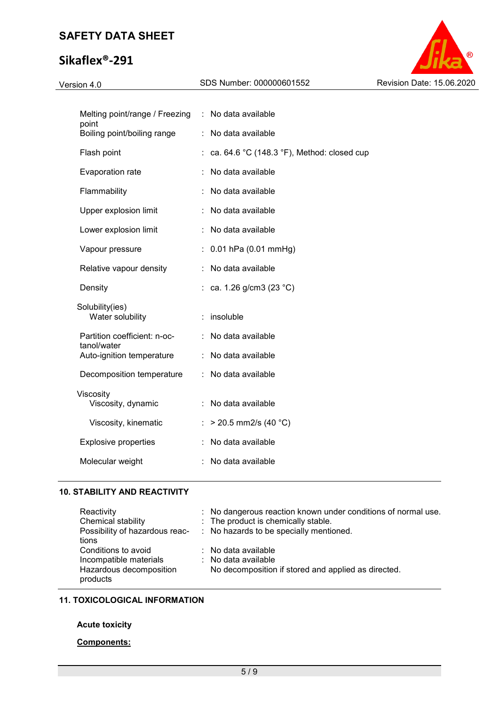# **Sikaflex®-291**

Version 4.0 SDS Number: 000000601552 Revision Date: 15.06.2020

| Melting point/range / Freezing              | : No data available                        |
|---------------------------------------------|--------------------------------------------|
| point<br>Boiling point/boiling range        | No data available                          |
| Flash point                                 | ca. 64.6 °C (148.3 °F), Method: closed cup |
| Evaporation rate                            | No data available                          |
| Flammability                                | No data available                          |
| Upper explosion limit                       | No data available                          |
| Lower explosion limit                       | No data available                          |
| Vapour pressure                             | $0.01$ hPa $(0.01$ mmHg)                   |
| Relative vapour density                     | No data available<br>t                     |
| Density                                     | ca. 1.26 g/cm3 (23 °C)                     |
| Solubility(ies)<br>Water solubility         | insoluble                                  |
| Partition coefficient: n-oc-<br>tanol/water | No data available                          |
| Auto-ignition temperature                   | No data available                          |
| Decomposition temperature                   | No data available                          |
| Viscosity<br>Viscosity, dynamic             | No data available                          |
| Viscosity, kinematic                        | $>$ 20.5 mm2/s (40 °C)                     |
| <b>Explosive properties</b>                 | No data available                          |
| Molecular weight                            | No data available                          |
|                                             |                                            |

#### **10. STABILITY AND REACTIVITY**

| Reactivity                          | : No dangerous reaction known under conditions of normal use. |
|-------------------------------------|---------------------------------------------------------------|
| Chemical stability                  | : The product is chemically stable.                           |
| Possibility of hazardous reac-      | : No hazards to be specially mentioned.                       |
| tions                               |                                                               |
| Conditions to avoid                 | $\therefore$ No data available                                |
| Incompatible materials              | $\therefore$ No data available                                |
| Hazardous decomposition<br>products | No decomposition if stored and applied as directed.           |

#### **11. TOXICOLOGICAL INFORMATION**

#### **Acute toxicity**

#### **Components:**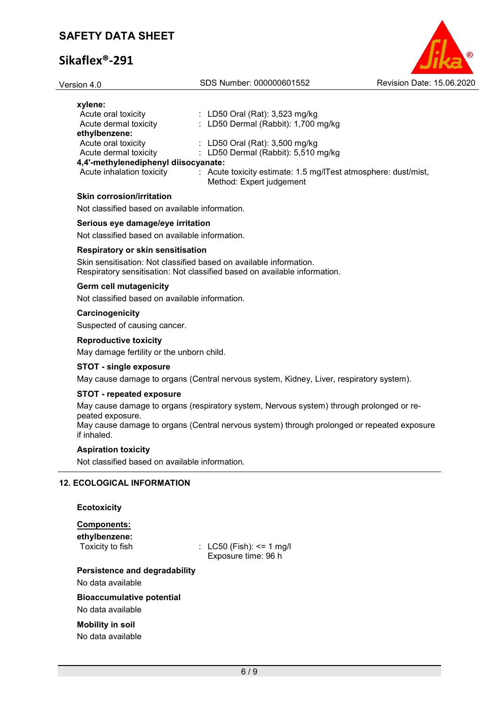| Version 4.0                                                                         | SDS Number: 000000601552                                                                   | Revision Date: 15.06.2020 |
|-------------------------------------------------------------------------------------|--------------------------------------------------------------------------------------------|---------------------------|
| xylene:<br>Acute oral toxicity                                                      | : LD50 Oral (Rat): $3,523$ mg/kg                                                           |                           |
| Acute dermal toxicity<br>ethylbenzene:                                              | : LD50 Dermal (Rabbit): $1,700$ mg/kg                                                      |                           |
| Acute oral toxicity                                                                 | : LD50 Oral (Rat): $3,500$ mg/kg                                                           |                           |
| Acute dermal toxicity                                                               | : LD50 Dermal (Rabbit): $5,510$ mg/kg                                                      |                           |
| 4,4'-methylenediphenyl diisocyanate:                                                |                                                                                            |                           |
| Acute inhalation toxicity                                                           | : Acute toxicity estimate: 1.5 mg/ITest atmosphere: dust/mist,<br>Method: Expert judgement |                           |
| <b>Skin corrosion/irritation</b>                                                    |                                                                                            |                           |
| Not classified based on available information.                                      |                                                                                            |                           |
| Serious eye damage/eye irritation<br>Not classified based on available information. |                                                                                            |                           |

# **Respiratory or skin sensitisation**

Skin sensitisation: Not classified based on available information. Respiratory sensitisation: Not classified based on available information.

#### **Germ cell mutagenicity**

Not classified based on available information.

#### **Carcinogenicity**

Suspected of causing cancer.

#### **Reproductive toxicity**

May damage fertility or the unborn child.

#### **STOT - single exposure**

May cause damage to organs (Central nervous system, Kidney, Liver, respiratory system).

#### **STOT - repeated exposure**

May cause damage to organs (respiratory system, Nervous system) through prolonged or repeated exposure.

May cause damage to organs (Central nervous system) through prolonged or repeated exposure if inhaled.

#### **Aspiration toxicity**

Not classified based on available information.

#### **12. ECOLOGICAL INFORMATION**

| <b>Ecotoxicity</b> |
|--------------------|
| <b>Components:</b> |

| ethylbenzene:<br>Toxicity to fish                     | : $LC50$ (Fish): <= 1 mg/l<br>Exposure time: 96 h |
|-------------------------------------------------------|---------------------------------------------------|
| Persistence and degradability                         |                                                   |
| No data available                                     |                                                   |
| <b>Bioaccumulative potential</b><br>No data available |                                                   |
| <b>Mobility in soil</b>                               |                                                   |

No data available

6 / 9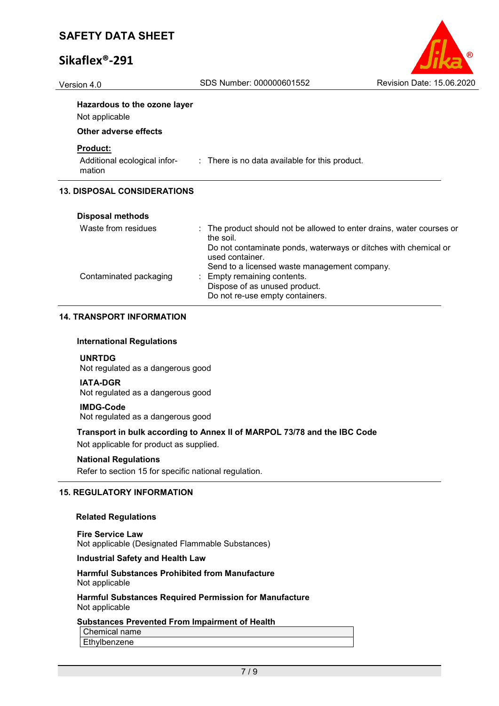| (R                        |
|---------------------------|
| Revision Date: 15.06.2020 |

# Version 4.0 SDS Number: 000000601552 **Hazardous to the ozone layer** Not applicable **Other adverse effects Product:** Additional ecological information : There is no data available for this product. **13. DISPOSAL CONSIDERATIONS Disposal methods** Waste from residues : The product should not be allowed to enter drains, water courses or the soil.

|                        | the soil.                                                       |
|------------------------|-----------------------------------------------------------------|
|                        | Do not contaminate ponds, waterways or ditches with chemical or |
|                        | used container.                                                 |
|                        | Send to a licensed waste management company.                    |
| Contaminated packaging | : Empty remaining contents.                                     |
|                        | Dispose of as unused product.                                   |
|                        | Do not re-use empty containers.                                 |

#### **14. TRANSPORT INFORMATION**

#### **International Regulations**

**UNRTDG** Not regulated as a dangerous good

#### **IATA-DGR**

Not regulated as a dangerous good

#### **IMDG-Code**

Not regulated as a dangerous good

#### **Transport in bulk according to Annex II of MARPOL 73/78 and the IBC Code**

Not applicable for product as supplied.

#### **National Regulations**

Refer to section 15 for specific national regulation.

#### **15. REGULATORY INFORMATION**

#### **Related Regulations**

**Fire Service Law** Not applicable (Designated Flammable Substances)

#### **Industrial Safety and Health Law**

#### **Harmful Substances Prohibited from Manufacture** Not applicable

**Harmful Substances Required Permission for Manufacture** Not applicable

#### **Substances Prevented From Impairment of Health**

Chemical name

**Ethylbenzene**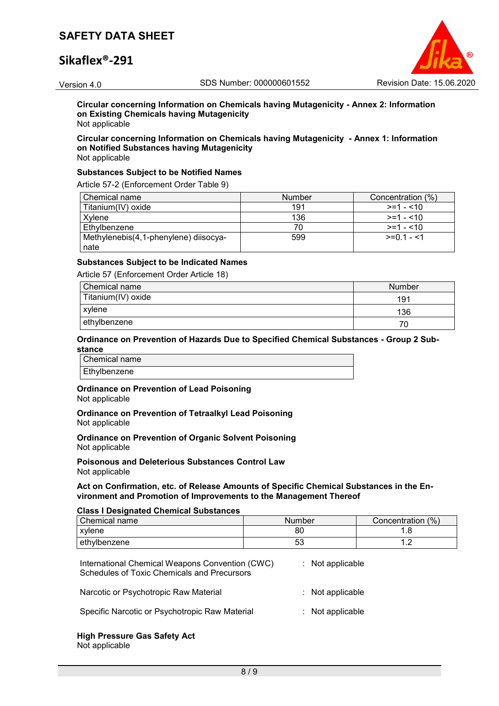## **Sikaflex®-291**



**Circular concerning Information on Chemicals having Mutagenicity - Annex 2: Information on Existing Chemicals having Mutagenicity** Not applicable

### **Circular concerning Information on Chemicals having Mutagenicity - Annex 1: Information on Notified Substances having Mutagenicity**

Not applicable

#### **Substances Subject to be Notified Names**

Article 57-2 (Enforcement Order Table 9)

| Chemical name                         | <b>Number</b> | Concentration (%) |
|---------------------------------------|---------------|-------------------|
| Titanium(IV) oxide                    | 191           | $>=1 - 10$        |
| Xvlene                                | 136           | $>=1 - 10$        |
| Ethylbenzene                          |               | $>=1 - 10$        |
| Methylenebis(4,1-phenylene) diisocya- | 599           | $>=01 - 1$        |
| nate                                  |               |                   |

#### **Substances Subject to be Indicated Names**

Article 57 (Enforcement Order Article 18)

| Chemical name      | Number |
|--------------------|--------|
| Titanium(IV) oxide | 191    |
| xylene             | 136    |
| ethylbenzene       | 70     |

#### **Ordinance on Prevention of Hazards Due to Specified Chemical Substances - Group 2 Substance**

Chemical name Ethylbenzene

# **Ordinance on Prevention of Lead Poisoning**

Not applicable

**Ordinance on Prevention of Tetraalkyl Lead Poisoning** Not applicable

**Ordinance on Prevention of Organic Solvent Poisoning** Not applicable

**Poisonous and Deleterious Substances Control Law** Not applicable

#### **Act on Confirmation, etc. of Release Amounts of Specific Chemical Substances in the Environment and Promotion of Improvements to the Management Thereof**

#### **Class I Designated Chemical Substances**

| Chemical name | Number | Concentration (%) |
|---------------|--------|-------------------|
| xvlene        | 80     |                   |
| ethylbenzene  | ວວ     | . . <u>.</u>      |

| International Chemical Weapons Convention (CWC)<br><b>Schedules of Toxic Chemicals and Precursors</b> | : Not applicable   |
|-------------------------------------------------------------------------------------------------------|--------------------|
| Narcotic or Psychotropic Raw Material                                                                 | $:$ Not applicable |
| Specific Narcotic or Psychotropic Raw Material                                                        | $:$ Not applicable |

#### **High Pressure Gas Safety Act** Not applicable